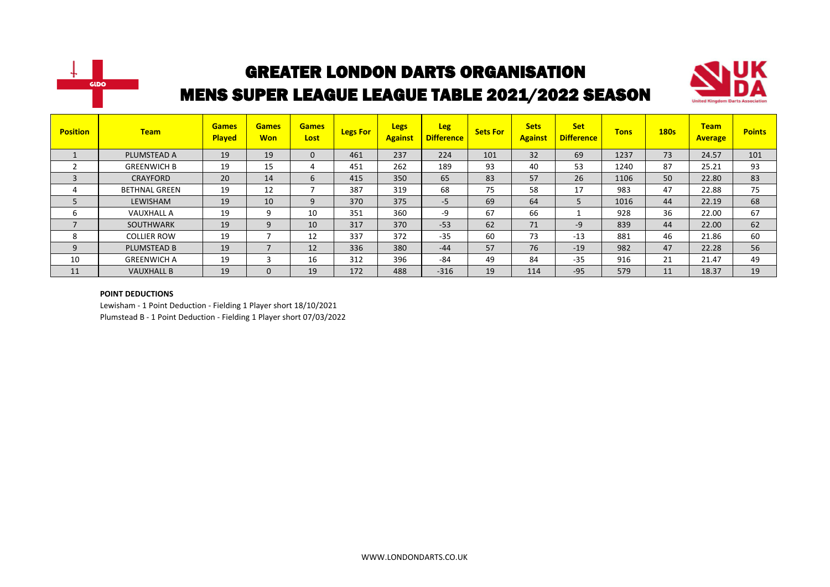



| <b>Position</b> | <b>Team</b>          | <b>Games</b><br><b>Played</b> | <b>Games</b><br><b>Won</b> | <b>Games</b><br>Lost | <b>Legs For</b> | <b>Legs</b><br><b>Against</b> | <b>Leg</b><br><b>Difference</b> | <b>Sets For</b> | <b>Sets</b><br><b>Against</b> | <b>Set</b><br><b>Difference</b> | <b>Tons</b> | <b>180s</b> | <b>Team</b><br><b>Average</b> | <b>Points</b> |
|-----------------|----------------------|-------------------------------|----------------------------|----------------------|-----------------|-------------------------------|---------------------------------|-----------------|-------------------------------|---------------------------------|-------------|-------------|-------------------------------|---------------|
|                 | PLUMSTEAD A          | 19                            | 19                         | $\mathbf{0}$         | 461             | 237                           | 224                             | 101             | 32                            | 69                              | 1237        | 73          | 24.57                         | 101           |
|                 | <b>GREENWICH B</b>   | 19                            | 15                         | 4                    | 451             | 262                           | 189                             | 93              | 40                            | 53                              | 1240        | 87          | 25.21                         | 93            |
|                 | <b>CRAYFORD</b>      | 20                            | 14                         | 6                    | 415             | 350                           | 65                              | 83              | 57                            | 26                              | 1106        | 50          | 22.80                         | 83            |
|                 | <b>BETHNAL GREEN</b> | 19                            | 12                         |                      | 387             | 319                           | 68                              | 75              | 58                            | 17                              | 983         | 47          | 22.88                         | 75            |
|                 | LEWISHAM             | 19                            | 10                         | 9                    | 370             | 375                           | -5                              | 69              | 64                            | 5                               | 1016        | 44          | 22.19                         | 68            |
| b               | <b>VAUXHALL A</b>    | 19                            | 9                          | 10                   | 351             | 360                           | -9                              | 67              | 66                            |                                 | 928         | 36          | 22.00                         | 67            |
| $\overline{ }$  | <b>SOUTHWARK</b>     | 19                            | 9                          | 10                   | 317             | 370                           | $-53$                           | 62              | 71                            | $-9$                            | 839         | 44          | 22.00                         | 62            |
| 8               | <b>COLLIER ROW</b>   | 19                            | $\overline{\phantom{a}}$   | 12                   | 337             | 372                           | $-35$                           | 60              | 73                            | $-13$                           | 881         | 46          | 21.86                         | 60            |
| 9               | <b>PLUMSTEAD B</b>   | 19                            | $\overline{\phantom{a}}$   | 12                   | 336             | 380                           | $-44$                           | 57              | 76                            | $-19$                           | 982         | 47          | 22.28                         | 56            |
| 10              | <b>GREENWICH A</b>   | 19                            | 3                          | 16                   | 312             | 396                           | $-84$                           | 49              | 84                            | $-35$                           | 916         | 21          | 21.47                         | 49            |
| 11              | <b>VAUXHALL B</b>    | 19                            | $\Omega$                   | 19                   | 172             | 488                           | $-316$                          | 19              | 114                           | $-95$                           | 579         | 11          | 18.37                         | 19            |

#### **POINT DEDUCTIONS**

Lewisham - 1 Point Deduction - Fielding 1 Player short 18/10/2021 Plumstead B - 1 Point Deduction - Fielding 1 Player short 07/03/2022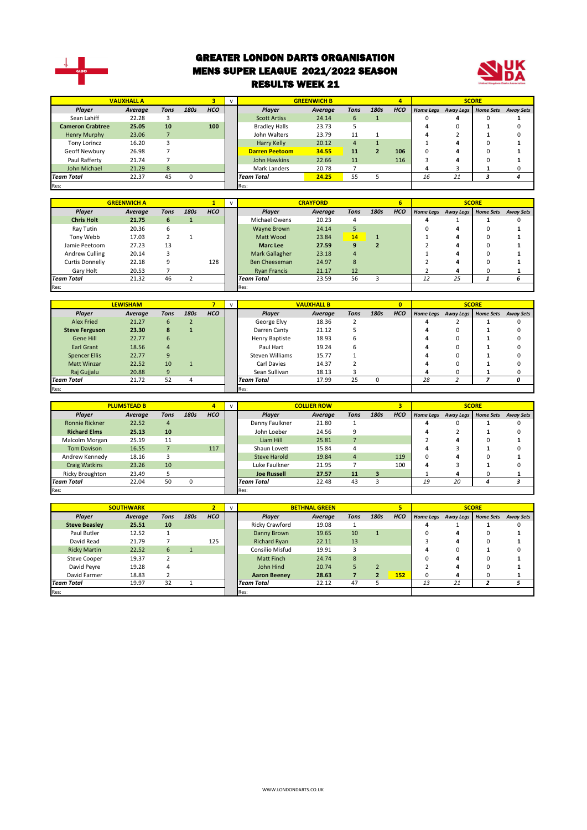

#### GREATER LONDON DARTS ORGANISATION MENS SUPER LEAGUE 2021/2022 SEASON RESULTS WEEK 21



|                         | <b>VAUXHALL A</b> |              |          |            |                       | <b>GREENWICH B</b> |      |                | 4          |    |                     | <b>SCORE</b>     |                  |
|-------------------------|-------------------|--------------|----------|------------|-----------------------|--------------------|------|----------------|------------|----|---------------------|------------------|------------------|
| Player                  | Average           | Tons         | 180s     | <b>HCO</b> | Player                | Average            | Tons | 180s           | <b>HCO</b> |    | Home Legs Away Legs | <b>Home Sets</b> | <b>Away Sets</b> |
| Sean Lahiff             | 22.28             |              |          |            | <b>Scott Artiss</b>   | 24.14              | 6    |                |            | 0  | д                   | 0                |                  |
| <b>Cameron Crabtree</b> | 25.05             | 10           |          | 100        | <b>Bradley Halls</b>  | 23.73              |      |                |            | 4  | 0                   |                  |                  |
| Henry Murphy            | 23.06             |              |          |            | John Walters          | 23.79              | 11   |                |            | 4  |                     |                  |                  |
| <b>Tony Lorincz</b>     | 16.20             |              |          |            | Harry Kelly           | 20.12              | 4    |                |            |    | д                   |                  |                  |
| Geoff Newbury           | 26.98             |              |          |            | <b>Darren Peetoom</b> | 34.55              | 11   | $\overline{2}$ | 106        | 0  |                     | $\Omega$         |                  |
| Paul Rafferty           | 21.74             |              |          |            | John Hawkins          | 22.66              | 11   |                | 116        |    | 4                   | $\Omega$         |                  |
| John Michael            | 21.29             | $\mathbf{8}$ |          |            | Mark Landers          | 20.78              |      |                |            |    |                     |                  |                  |
| <b>Team Total</b>       | 22.37             | 45           | $\Omega$ |            | <b>Team Total</b>     | 24.25              | 55   |                |            | 16 | 21                  |                  |                  |
| Res:                    |                   |              |          |            | Res:                  |                    |      |                |            |    |                     |                  |                  |

|                   |                    |      |      |            |                      | <b>CRAYFORD</b> |                |      | 6          |                  |    | <b>SCORE</b>        |                  |
|-------------------|--------------------|------|------|------------|----------------------|-----------------|----------------|------|------------|------------------|----|---------------------|------------------|
|                   | <b>GREENWICH A</b> |      |      |            |                      |                 |                |      |            |                  |    |                     |                  |
| Player            | Average            | Tons | 180s | <b>HCO</b> | Player               | Average         | Tons           | 180s | <b>HCO</b> | <b>Home Legs</b> |    | Away Legs Home Sets | <b>Away Sets</b> |
| <b>Chris Holt</b> | 21.75              | 6    |      |            | Michael Owens        | 20.23           | 4              |      |            | 4                |    |                     |                  |
| Ray Tutin         | 20.36              | 6    |      |            | Wayne Brown          | 24.14           |                |      |            | 0                | 4  | $\Omega$            |                  |
| Tony Webb         | 17.03              |      |      |            | Matt Wood            | 23.84           | 14             |      |            |                  |    | $\Omega$            |                  |
| Jamie Peetoom     | 27.23              | 13   |      |            | <b>Marc Lee</b>      | 27.59           | 9              |      |            |                  | 4  |                     |                  |
| Andrew Culling    | 20.14              |      |      |            | Mark Gallagher       | 23.18           | $\overline{a}$ |      |            |                  | 4  |                     |                  |
| Curtis Donnelly   | 22.18              | 9    |      | 128        | <b>Ben Cheeseman</b> | 24.97           | 8              |      |            |                  |    | $\Omega$            |                  |
| Gary Holt         | 20.53              |      |      |            | <b>Ryan Francis</b>  | 21.17           | 12             |      |            |                  | 4  | 0                   |                  |
| <b>Team Total</b> | 21.32              | 46   |      |            | <b>Team Total</b>    | 23.59           | 56             |      |            | 12               | 25 |                     |                  |
| Res:              |                    |      |      |            | Res:                 |                 |                |      |            |                  |    |                     |                  |

|                       | <b>LEWISHAM</b> |      |      |            |                   | <b>VAUXHALL B</b> |             |      | $\overline{\mathbf{0}}$ |    |                     | <b>SCORE</b>     |                  |
|-----------------------|-----------------|------|------|------------|-------------------|-------------------|-------------|------|-------------------------|----|---------------------|------------------|------------------|
| Player                | Average         | Tons | 180s | <b>HCO</b> | Player            | Average           | <b>Tons</b> | 180s | <b>HCO</b>              |    | Home Legs Away Legs | <b>Home Sets</b> | <b>Away Sets</b> |
| Alex Fried            | 21.27           | 6    |      |            | George Elvy       | 18.36             |             |      |                         |    |                     |                  |                  |
| <b>Steve Ferguson</b> | 23.30           | 8    |      |            | Darren Canty      | 21.12             |             |      |                         | 4  | 0                   |                  |                  |
| Gene Hill             | 22.77           | 6    |      |            | Henry Baptiste    | 18.93             | ь           |      |                         |    | 0                   |                  |                  |
| Earl Grant            | 18.56           | 4    |      |            | Paul Hart         | 19.24             | b           |      |                         |    | υ                   |                  |                  |
| <b>Spencer Ellis</b>  | 22.77           | 9    |      |            | Steven Williams   | 15.77             |             |      |                         |    |                     |                  |                  |
| <b>Matt Winzar</b>    | 22.52           | 10   |      |            | Carl Davies       | 14.37             |             |      |                         | д  |                     |                  |                  |
| Raj Gujjalu           | 20.88           | 9    |      |            | Sean Sullivan     | 18.13             |             |      |                         | 4  | υ                   |                  |                  |
| <b>Team Total</b>     | 21.72           | 52   | 4    |            | <b>Team Total</b> | 17.99             | 25          |      |                         | 28 |                     |                  |                  |
| Res:                  |                 |      |      |            | Res:              |                   |             |      |                         |    |                     |                  |                  |

|                        | <b>PLUMSTEAD B</b> |      |              |            | $\mathbf{v}$ |                    | <b>COLLIER ROW</b> |      |      | 3          |    |    | <b>SCORE</b>                  |                  |
|------------------------|--------------------|------|--------------|------------|--------------|--------------------|--------------------|------|------|------------|----|----|-------------------------------|------------------|
| Player                 | Average            | Tons | 180s         | <b>HCO</b> |              | Plaver             | Average            | Tons | 180s | <b>HCO</b> |    |    | Home Legs Away Legs Home Sets | <b>Away Sets</b> |
| Ronnie Rickner         | 22.52              | 4    |              |            |              | Danny Faulkner     | 21.80              |      |      |            |    |    |                               |                  |
| <b>Richard Elms</b>    | 25.13              | 10   |              |            |              | John Loeber        | 24.56              |      |      |            |    |    |                               |                  |
| Malcolm Morgan         | 25.19              | 11   |              |            |              | Liam Hill          | 25.81              |      |      |            |    |    |                               |                  |
| <b>Tom Davison</b>     | 16.55              |      |              | 117        |              | Shaun Lovett       | 15.84              |      |      |            |    |    |                               |                  |
| Andrew Kennedy         | 18.16              |      |              |            |              | Steve Harold       | 19.84              | 4    |      | 119        | 0  |    |                               |                  |
| Craig Watkins          | 23.26              | 10   |              |            |              | Luke Faulkner      | 21.95              |      |      | 100        | 4  |    |                               |                  |
| <b>Ricky Broughton</b> | 23.49              |      |              |            |              | <b>Joe Russell</b> | 27.57              | 11   | 3    |            |    | 4  |                               |                  |
| <b>Team Total</b>      | 22.04              | 50   | <sup>0</sup> |            |              | <b>Team Total</b>  | 22.48              | 43   |      |            | 19 | 20 |                               |                  |
| Res:                   |                    |      |              |            |              | Res:               |                    |      |      |            |    |    |                               |                  |

|                      | <b>SOUTHWARK</b> |      |      |            | $\mathbf{v}$      |                     | <b>BETHNAL GREEN</b> |      |      |            |          |                     | <b>SCORE</b>     |                  |
|----------------------|------------------|------|------|------------|-------------------|---------------------|----------------------|------|------|------------|----------|---------------------|------------------|------------------|
| Player               | Average          | Tons | 180s | <b>HCO</b> |                   | Player              | Average              | Tons | 180s | <b>HCO</b> |          | Home Legs Away Legs | <b>Home Sets</b> | <b>Away Sets</b> |
| <b>Steve Beasley</b> | 25.51            | 10   |      |            |                   | Ricky Crawford      | 19.08                |      |      |            | Λ        |                     |                  |                  |
| Paul Butler          | 12.52            |      |      |            |                   | Danny Brown         | 19.65                | 10   |      |            | $\Omega$ | 4                   | $\Omega$         |                  |
| David Read           | 21.79            |      |      | 125        |                   | <b>Richard Ryan</b> | 22.11                | 13   |      |            |          |                     |                  |                  |
| <b>Ricky Martin</b>  | 22.52            | 6    |      |            |                   | Consilio Misfud     | 19.91                |      |      |            | 4        |                     |                  |                  |
| <b>Steve Cooper</b>  | 19.37            |      |      |            |                   | <b>Matt Finch</b>   | 24.74                | 8    |      |            |          | д                   |                  |                  |
| David Peyre          | 19.28            | 4    |      |            |                   | John Hind           | 20.74                |      |      |            |          |                     |                  |                  |
| David Farmer         | 18.83            |      |      |            |                   | <b>Aaron Beeney</b> | 28.63                |      |      | 152        | 0        |                     |                  |                  |
| <b>Team Total</b>    | 32<br>19.97      |      |      |            | <b>Team Total</b> | 22.12               | 47                   |      |      | 13         | 21       |                     |                  |                  |
| Res:                 |                  |      |      |            |                   | Res:                |                      |      |      |            |          |                     |                  |                  |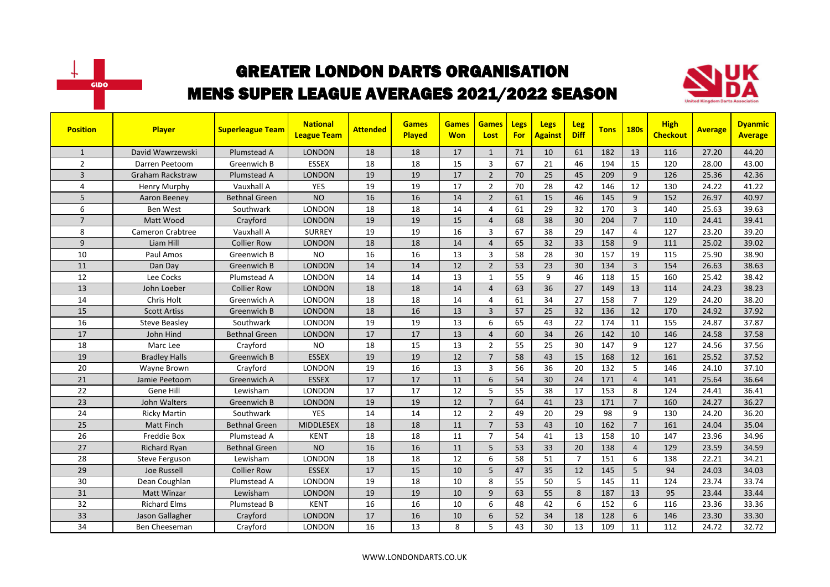



| <b>Position</b> | <b>Player</b>           | <b>Superleague Team</b> | <b>National</b><br><b>League Team</b> | <b>Attended</b> | <b>Games</b><br><b>Played</b> | <b>Games</b><br><b>Won</b> | <b>Games</b><br>Lost | Legs<br><b>For</b> | Legs<br><b>Against</b> | Leg<br><b>Diff</b> | <b>Tons</b> | <b>180s</b>    | <b>High</b><br><b>Checkout</b> | <b>Average</b> | <b>Dyanmic</b><br><b>Average</b> |
|-----------------|-------------------------|-------------------------|---------------------------------------|-----------------|-------------------------------|----------------------------|----------------------|--------------------|------------------------|--------------------|-------------|----------------|--------------------------------|----------------|----------------------------------|
| $\mathbf{1}$    | David Wawrzewski        | Plumstead A             | <b>LONDON</b>                         | 18              | 18                            | 17                         | $\mathbf{1}$         | 71                 | 10                     | 61                 | 182         | 13             | 116                            | 27.20          | 44.20                            |
| $\overline{2}$  | Darren Peetoom          | Greenwich B             | <b>ESSEX</b>                          | 18              | 18                            | 15                         | 3                    | 67                 | 21                     | 46                 | 194         | 15             | 120                            | 28.00          | 43.00                            |
| 3               | <b>Graham Rackstraw</b> | Plumstead A             | <b>LONDON</b>                         | 19              | 19                            | 17                         | $\overline{2}$       | 70                 | 25                     | 45                 | 209         | 9              | 126                            | 25.36          | 42.36                            |
| 4               | Henry Murphy            | Vauxhall A              | <b>YES</b>                            | 19              | 19                            | 17                         | $\overline{2}$       | 70                 | 28                     | 42                 | 146         | 12             | 130                            | 24.22          | 41.22                            |
| 5               | Aaron Beeney            | <b>Bethnal Green</b>    | <b>NO</b>                             | 16              | 16                            | 14                         | $\overline{2}$       | 61                 | 15                     | 46                 | 145         | 9              | 152                            | 26.97          | 40.97                            |
| 6               | Ben West                | Southwark               | <b>LONDON</b>                         | 18              | 18                            | 14                         | 4                    | 61                 | 29                     | 32                 | 170         | 3              | 140                            | 25.63          | 39.63                            |
| $\overline{7}$  | Matt Wood               | Crayford                | <b>LONDON</b>                         | 19              | 19                            | 15                         | $\overline{4}$       | 68                 | 38                     | 30                 | 204         | $\overline{7}$ | 110                            | 24.41          | 39.41                            |
| 8               | <b>Cameron Crabtree</b> | Vauxhall A              | <b>SURREY</b>                         | 19              | 19                            | 16                         | 3                    | 67                 | 38                     | 29                 | 147         | 4              | 127                            | 23.20          | 39.20                            |
| 9               | Liam Hill               | <b>Collier Row</b>      | <b>LONDON</b>                         | 18              | 18                            | 14                         | $\overline{4}$       | 65                 | 32                     | 33                 | 158         | 9              | 111                            | 25.02          | 39.02                            |
| 10              | Paul Amos               | Greenwich B             | <b>NO</b>                             | 16              | 16                            | 13                         | 3                    | 58                 | 28                     | 30                 | 157         | 19             | 115                            | 25.90          | 38.90                            |
| 11              | Dan Day                 | Greenwich B             | <b>LONDON</b>                         | 14              | 14                            | 12                         | $\overline{2}$       | 53                 | 23                     | 30                 | 134         | $\overline{3}$ | 154                            | 26.63          | 38.63                            |
| 12              | Lee Cocks               | Plumstead A             | <b>LONDON</b>                         | 14              | 14                            | 13                         | $\mathbf{1}$         | 55                 | 9                      | 46                 | 118         | 15             | 160                            | 25.42          | 38.42                            |
| 13              | John Loeber             | <b>Collier Row</b>      | <b>LONDON</b>                         | 18              | 18                            | 14                         | $\overline{4}$       | 63                 | 36                     | 27                 | 149         | 13             | 114                            | 24.23          | 38.23                            |
| 14              | Chris Holt              | Greenwich A             | <b>LONDON</b>                         | 18              | 18                            | 14                         | $\overline{4}$       | 61                 | 34                     | 27                 | 158         | $\overline{7}$ | 129                            | 24.20          | 38.20                            |
| 15              | <b>Scott Artiss</b>     | Greenwich B             | <b>LONDON</b>                         | 18              | 16                            | 13                         | $\overline{3}$       | 57                 | 25                     | 32                 | 136         | 12             | 170                            | 24.92          | 37.92                            |
| 16              | <b>Steve Beasley</b>    | Southwark               | <b>LONDON</b>                         | 19              | 19                            | 13                         | 6                    | 65                 | 43                     | 22                 | 174         | 11             | 155                            | 24.87          | 37.87                            |
| 17              | John Hind               | <b>Bethnal Green</b>    | <b>LONDON</b>                         | 17              | 17                            | 13                         | $\overline{4}$       | 60                 | 34                     | 26                 | 142         | 10             | 146                            | 24.58          | 37.58                            |
| 18              | Marc Lee                | Crayford                | <b>NO</b>                             | 18              | 15                            | 13                         | $\overline{2}$       | 55                 | 25                     | 30                 | 147         | 9              | 127                            | 24.56          | 37.56                            |
| 19              | <b>Bradley Halls</b>    | Greenwich B             | <b>ESSEX</b>                          | 19              | 19                            | 12                         | $\overline{7}$       | 58                 | 43                     | 15                 | 168         | 12             | 161                            | 25.52          | 37.52                            |
| 20              | Wayne Brown             | Crayford                | LONDON                                | 19              | 16                            | 13                         | $\overline{3}$       | 56                 | 36                     | 20                 | 132         | 5              | 146                            | 24.10          | 37.10                            |
| 21              | Jamie Peetoom           | Greenwich A             | <b>ESSEX</b>                          | 17              | 17                            | 11                         | 6                    | 54                 | 30                     | 24                 | 171         | $\overline{4}$ | 141                            | 25.64          | 36.64                            |
| 22              | Gene Hill               | Lewisham                | LONDON                                | 17              | 17                            | 12                         | 5                    | 55                 | 38                     | 17                 | 153         | 8              | 124                            | 24.41          | 36.41                            |
| 23              | John Walters            | Greenwich B             | <b>LONDON</b>                         | 19              | 19                            | 12                         | $\overline{7}$       | 64                 | 41                     | 23                 | 171         | $\overline{7}$ | 160                            | 24.27          | 36.27                            |
| 24              | <b>Ricky Martin</b>     | Southwark               | <b>YES</b>                            | 14              | 14                            | 12                         | $\overline{2}$       | 49                 | 20                     | 29                 | 98          | 9              | 130                            | 24.20          | 36.20                            |
| 25              | <b>Matt Finch</b>       | <b>Bethnal Green</b>    | <b>MIDDLESEX</b>                      | 18              | 18                            | 11                         | $\overline{7}$       | 53                 | 43                     | 10                 | 162         | $\overline{7}$ | 161                            | 24.04          | 35.04                            |
| 26              | Freddie Box             | Plumstead A             | <b>KENT</b>                           | 18              | 18                            | 11                         | $\overline{7}$       | 54                 | 41                     | 13                 | 158         | 10             | 147                            | 23.96          | 34.96                            |
| 27              | <b>Richard Ryan</b>     | <b>Bethnal Green</b>    | <b>NO</b>                             | 16              | 16                            | 11                         | 5                    | 53                 | 33                     | 20                 | 138         | $\overline{4}$ | 129                            | 23.59          | 34.59                            |
| 28              | <b>Steve Ferguson</b>   | Lewisham                | LONDON                                | 18              | 18                            | 12                         | 6                    | 58                 | 51                     | $\overline{7}$     | 151         | 6              | 138                            | 22.21          | 34.21                            |
| 29              | Joe Russell             | <b>Collier Row</b>      | <b>ESSEX</b>                          | 17              | 15                            | 10                         | 5                    | 47                 | 35                     | 12                 | 145         | 5              | 94                             | 24.03          | 34.03                            |
| 30              | Dean Coughlan           | Plumstead A             | <b>LONDON</b>                         | 19              | 18                            | 10                         | 8                    | 55                 | 50                     | 5                  | 145         | 11             | 124                            | 23.74          | 33.74                            |
| 31              | <b>Matt Winzar</b>      | Lewisham                | <b>LONDON</b>                         | 19              | 19                            | 10                         | 9                    | 63                 | 55                     | 8                  | 187         | 13             | 95                             | 23.44          | 33.44                            |
| 32              | <b>Richard Elms</b>     | Plumstead B             | <b>KENT</b>                           | 16              | 16                            | 10                         | 6                    | 48                 | 42                     | 6                  | 152         | 6              | 116                            | 23.36          | 33.36                            |
| 33              | Jason Gallagher         | Crayford                | <b>LONDON</b>                         | 17              | 16                            | 10                         | 6                    | 52                 | 34                     | 18                 | 128         | 6              | 146                            | 23.30          | 33.30                            |
| 34              | Ben Cheeseman           | Crayford                | LONDON                                | 16              | 13                            | 8                          | 5                    | 43                 | 30                     | 13                 | 109         | 11             | 112                            | 24.72          | 32.72                            |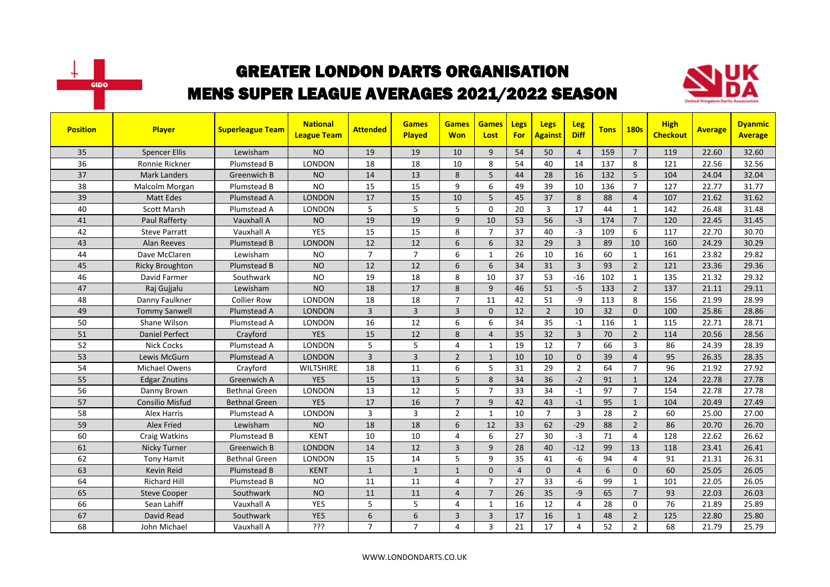



| <b>Position</b> | <b>Player</b>          | <b>Superleague Team</b> | <b>National</b><br><b>League Team</b> | <b>Attended</b> | <b>Games</b><br>Played | <b>Games</b><br><b>Won</b> | <b>Games</b><br>Lost | <b>Legs</b><br><b>For</b> | <b>Legs</b><br><b>Against</b> | <b>Leg</b><br><b>Diff</b> | <b>Tons</b> | <b>180s</b>    | <b>High</b><br><b>Checkout</b> | <b>Average</b> | <b>Dyanmic</b><br><b>Average</b> |
|-----------------|------------------------|-------------------------|---------------------------------------|-----------------|------------------------|----------------------------|----------------------|---------------------------|-------------------------------|---------------------------|-------------|----------------|--------------------------------|----------------|----------------------------------|
| 35              | <b>Spencer Ellis</b>   | Lewisham                | <b>NO</b>                             | 19              | 19                     | 10                         | 9                    | 54                        | 50                            | $\overline{4}$            | 159         | $\overline{7}$ | 119                            | 22.60          | 32.60                            |
| 36              | Ronnie Rickner         | Plumstead B             | LONDON                                | 18              | 18                     | 10                         | 8                    | 54                        | 40                            | 14                        | 137         | 8              | 121                            | 22.56          | 32.56                            |
| 37              | <b>Mark Landers</b>    | Greenwich B             | <b>NO</b>                             | 14              | 13                     | 8                          | 5                    | 44                        | 28                            | 16                        | 132         | 5              | 104                            | 24.04          | 32.04                            |
| 38              | Malcolm Morgan         | Plumstead B             | <b>NO</b>                             | 15              | 15                     | 9                          | 6                    | 49                        | 39                            | 10                        | 136         | $\overline{7}$ | 127                            | 22.77          | 31.77                            |
| 39              | <b>Matt Edes</b>       | Plumstead A             | <b>LONDON</b>                         | 17              | 15                     | 10                         | 5                    | 45                        | 37                            | 8                         | 88          | $\overline{4}$ | 107                            | 21.62          | 31.62                            |
| 40              | <b>Scott Marsh</b>     | Plumstead A             | LONDON                                | 5               | 5                      | 5                          | $\Omega$             | 20                        | 3                             | 17                        | 44          | $\mathbf{1}$   | 142                            | 26.48          | 31.48                            |
| 41              | Paul Rafferty          | Vauxhall A              | <b>NO</b>                             | 19              | 19                     | 9                          | 10                   | 53                        | 56                            | $-3$                      | 174         | $\overline{7}$ | 120                            | 22.45          | 31.45                            |
| 42              | <b>Steve Parratt</b>   | Vauxhall A              | <b>YES</b>                            | 15              | 15                     | 8                          | $\overline{7}$       | 37                        | 40                            | $-3$                      | 109         | 6              | 117                            | 22.70          | 30.70                            |
| 43              | <b>Alan Reeves</b>     | Plumstead B             | <b>LONDON</b>                         | 12              | 12                     | 6                          | 6                    | 32                        | 29                            | $\overline{3}$            | 89          | 10             | 160                            | 24.29          | 30.29                            |
| 44              | Dave McClaren          | Lewisham                | <b>NO</b>                             | $\overline{7}$  | $\overline{7}$         | 6                          | $\mathbf{1}$         | 26                        | 10                            | 16                        | 60          | $\mathbf{1}$   | 161                            | 23.82          | 29.82                            |
| 45              | <b>Ricky Broughton</b> | Plumstead B             | <b>NO</b>                             | 12              | 12                     | 6                          | 6                    | 34                        | 31                            | $\overline{3}$            | 93          | $\overline{2}$ | 121                            | 23.36          | 29.36                            |
| 46              | David Farmer           | Southwark               | <b>NO</b>                             | 19              | 18                     | 8                          | 10                   | 37                        | 53                            | $-16$                     | 102         | 1              | 135                            | 21.32          | 29.32                            |
| 47              | Raj Gujjalu            | Lewisham                | <b>NO</b>                             | 18              | 17                     | 8                          | 9                    | 46                        | 51                            | $-5$                      | 133         | $\overline{2}$ | 137                            | 21.11          | 29.11                            |
| 48              | Danny Faulkner         | <b>Collier Row</b>      | <b>LONDON</b>                         | 18              | 18                     | $\overline{7}$             | 11                   | 42                        | 51                            | $-9$                      | 113         | 8              | 156                            | 21.99          | 28.99                            |
| 49              | <b>Tommy Sanwell</b>   | Plumstead A             | <b>LONDON</b>                         | $\overline{3}$  | $\overline{3}$         | $\overline{3}$             | $\mathbf{0}$         | 12                        | $\overline{2}$                | 10                        | 32          | $\mathbf{0}$   | 100                            | 25.86          | 28.86                            |
| 50              | Shane Wilson           | Plumstead A             | <b>LONDON</b>                         | 16              | $\overline{12}$        | 6                          | 6                    | 34                        | 35                            | $-1$                      | 116         | $\mathbf{1}$   | 115                            | 22.71          | 28.71                            |
| 51              | <b>Daniel Perfect</b>  | Crayford                | <b>YES</b>                            | 15              | 12                     | 8                          | $\overline{4}$       | 35                        | 32                            | $\overline{3}$            | 70          | $\overline{2}$ | 114                            | 20.56          | 28.56                            |
| 52              | <b>Nick Cocks</b>      | Plumstead A             | <b>LONDON</b>                         | 5               | 5                      | 4                          | $\mathbf{1}$         | 19                        | 12                            | $\overline{7}$            | 66          | $\overline{3}$ | 86                             | 24.39          | 28.39                            |
| 53              | Lewis McGurn           | Plumstead A             | <b>LONDON</b>                         | $\overline{3}$  | $\overline{3}$         | $\overline{2}$             | $\mathbf{1}$         | 10                        | 10                            | $\mathbf{0}$              | 39          | $\overline{4}$ | 95                             | 26.35          | 28.35                            |
| 54              | Michael Owens          | Crayford                | <b>WILTSHIRE</b>                      | 18              | 11                     | 6                          | 5                    | 31                        | 29                            | $\overline{2}$            | 64          | $\overline{7}$ | 96                             | 21.92          | 27.92                            |
| 55              | <b>Edgar Znutins</b>   | Greenwich A             | <b>YES</b>                            | 15              | 13                     | 5                          | 8                    | 34                        | 36                            | $-2$                      | 91          | $\mathbf{1}$   | 124                            | 22.78          | 27.78                            |
| 56              | Danny Brown            | <b>Bethnal Green</b>    | LONDON                                | 13              | 12                     | 5                          | $\overline{7}$       | 33                        | 34                            | $-1$                      | 97          | $\overline{7}$ | 154                            | 22.78          | 27.78                            |
| 57              | Consilio Misfud        | Bethnal Green           | <b>YES</b>                            | 17              | 16                     | $\overline{7}$             | 9                    | 42                        | 43                            | $-1$                      | 95          | $\mathbf{1}$   | 104                            | 20.49          | 27.49                            |
| 58              | Alex Harris            | Plumstead A             | LONDON                                | 3               | $\overline{3}$         | $\overline{2}$             | $\mathbf{1}$         | 10                        | $\overline{7}$                | $\overline{3}$            | 28          | $\overline{2}$ | 60                             | 25.00          | 27.00                            |
| 59              | <b>Alex Fried</b>      | Lewisham                | <b>NO</b>                             | 18              | 18                     | 6                          | 12                   | 33                        | 62                            | $-29$                     | 88          | $\overline{2}$ | 86                             | 20.70          | 26.70                            |
| 60              | Craig Watkins          | Plumstead B             | <b>KENT</b>                           | 10              | 10                     | 4                          | 6                    | 27                        | 30                            | $-3$                      | 71          | $\overline{4}$ | 128                            | 22.62          | 26.62                            |
| 61              | Nicky Turner           | Greenwich B             | <b>LONDON</b>                         | 14              | 12                     | 3                          | 9                    | 28                        | 40                            | $-12$                     | 99          | 13             | 118                            | 23.41          | 26.41                            |
| 62              | <b>Tony Hamit</b>      | <b>Bethnal Green</b>    | <b>LONDON</b>                         | 15              | 14                     | 5                          | 9                    | 35                        | 41                            | -6                        | 94          | $\overline{4}$ | 91                             | 21.31          | 26.31                            |
| 63              | Kevin Reid             | Plumstead B             | <b>KENT</b>                           | $\mathbf{1}$    | $\mathbf{1}$           | $\mathbf{1}$               | $\mathbf{0}$         | $\overline{4}$            | $\mathbf 0$                   | $\overline{4}$            | 6           | $\mathbf{0}$   | 60                             | 25.05          | 26.05                            |
| 64              | <b>Richard Hill</b>    | Plumstead B             | <b>NO</b>                             | 11              | 11                     | 4                          | $\overline{7}$       | 27                        | 33                            | $-6$                      | 99          | $\mathbf{1}$   | 101                            | 22.05          | 26.05                            |
| 65              | <b>Steve Cooper</b>    | Southwark               | <b>NO</b>                             | 11              | 11                     | $\overline{4}$             | $\overline{7}$       | 26                        | 35                            | $-9$                      | 65          | $\overline{7}$ | 93                             | 22.03          | 26.03                            |
| 66              | Sean Lahiff            | Vauxhall A              | <b>YES</b>                            | 5               | 5                      | 4                          | 1                    | 16                        | 12                            | 4                         | 28          | 0              | 76                             | 21.89          | 25.89                            |
| 67              | David Read             | Southwark               | <b>YES</b>                            | 6               | $\boldsymbol{6}$       | 3                          | $\overline{3}$       | 17                        | 16                            | $\mathbf{1}$              | 48          | $\overline{2}$ | 125                            | 22.80          | 25.80                            |
| 68              | John Michael           | Vauxhall A              | ???                                   | $\overline{7}$  | $\overline{7}$         | 4                          | 3                    | 21                        | 17                            | $\overline{4}$            | 52          | $\overline{2}$ | 68                             | 21.79          | 25.79                            |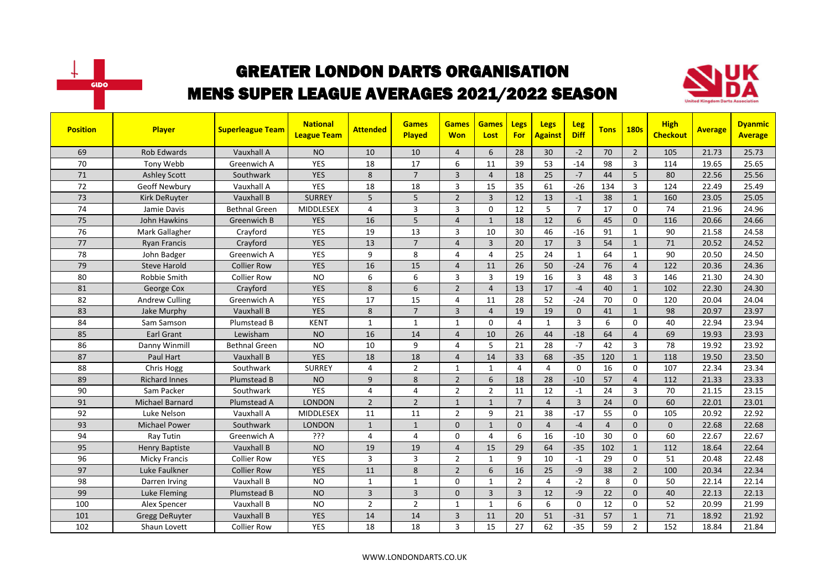



| <b>Position</b> | <b>Player</b>          | <b>Superleague Team</b> | <b>National</b><br><b>League Team</b> | <b>Attended</b> | <b>Games</b><br>Played | <b>Games</b><br><b>Won</b> | <b>Games</b><br>Lost | <b>Legs</b><br><b>For</b> | <b>Legs</b><br><b>Against</b> | Leg<br><b>Diff</b> | <b>Tons</b>    | <b>180s</b>    | <b>High</b><br><b>Checkout</b> | <b>Average</b> | <b>Dyanmic</b><br><b>Average</b> |
|-----------------|------------------------|-------------------------|---------------------------------------|-----------------|------------------------|----------------------------|----------------------|---------------------------|-------------------------------|--------------------|----------------|----------------|--------------------------------|----------------|----------------------------------|
| 69              | <b>Rob Edwards</b>     | Vauxhall A              | <b>NO</b>                             | 10              | 10                     | $\overline{4}$             | 6                    | 28                        | 30                            | $-2$               | 70             | $\overline{2}$ | 105                            | 21.73          | 25.73                            |
| 70              | Tony Webb              | Greenwich A             | <b>YES</b>                            | 18              | 17                     | 6                          | 11                   | 39                        | 53                            | $-14$              | 98             | $\overline{3}$ | 114                            | 19.65          | 25.65                            |
| 71              | <b>Ashley Scott</b>    | Southwark               | <b>YES</b>                            | 8               | $\overline{7}$         | 3                          | $\overline{4}$       | 18                        | 25                            | $-7$               | 44             | 5              | 80                             | 22.56          | 25.56                            |
| 72              | Geoff Newbury          | Vauxhall A              | YES                                   | 18              | 18                     | 3                          | 15                   | 35                        | 61                            | $-26$              | 134            | 3              | 124                            | 22.49          | 25.49                            |
| 73              | Kirk DeRuyter          | Vauxhall B              | <b>SURREY</b>                         | 5               | 5                      | $\overline{2}$             | $\overline{3}$       | 12                        | 13                            | $-1$               | 38             | $\mathbf{1}$   | 160                            | 23.05          | 25.05                            |
| 74              | Jamie Davis            | <b>Bethnal Green</b>    | <b>MIDDLESEX</b>                      | 4               | $\overline{3}$         | 3                          | $\Omega$             | 12                        | 5                             | $\overline{7}$     | 17             | $\mathbf 0$    | 74                             | 21.96          | 24.96                            |
| 75              | John Hawkins           | Greenwich B             | <b>YES</b>                            | 16              | 5                      | $\overline{4}$             | $\mathbf{1}$         | 18                        | 12                            | 6                  | 45             | $\Omega$       | 116                            | 20.66          | 24.66                            |
| 76              | Mark Gallagher         | Crayford                | YES                                   | 19              | 13                     | 3                          | 10                   | 30                        | 46                            | $-16$              | 91             | $\mathbf{1}$   | 90                             | 21.58          | 24.58                            |
| 77              | <b>Ryan Francis</b>    | Crayford                | <b>YES</b>                            | 13              | $\overline{7}$         | $\overline{4}$             | 3                    | 20                        | 17                            | $\overline{3}$     | 54             | $\mathbf{1}$   | 71                             | 20.52          | 24.52                            |
| 78              | John Badger            | Greenwich A             | YES                                   | 9               | 8                      | 4                          | $\overline{4}$       | 25                        | 24                            | 1                  | 64             | $\mathbf{1}$   | 90                             | 20.50          | 24.50                            |
| 79              | <b>Steve Harold</b>    | <b>Collier Row</b>      | <b>YES</b>                            | 16              | 15                     | 4                          | 11                   | 26                        | 50                            | $-24$              | 76             | $\overline{4}$ | 122                            | 20.36          | 24.36                            |
| 80              | Robbie Smith           | <b>Collier Row</b>      | <b>NO</b>                             | 6               | 6                      | 3                          | 3                    | 19                        | 16                            | $\overline{3}$     | 48             | $\overline{3}$ | 146                            | 21.30          | 24.30                            |
| 81              | George Cox             | Crayford                | <b>YES</b>                            | 8               | 6                      | $\overline{2}$             | $\overline{4}$       | 13                        | 17                            | $-4$               | 40             | $\mathbf{1}$   | 102                            | 22.30          | 24.30                            |
| 82              | <b>Andrew Culling</b>  | Greenwich A             | <b>YES</b>                            | 17              | 15                     | 4                          | 11                   | 28                        | 52                            | $-24$              | 70             | $\mathbf 0$    | 120                            | 20.04          | 24.04                            |
| 83              | Jake Murphy            | Vauxhall B              | <b>YES</b>                            | 8               | $\overline{7}$         | $\overline{3}$             | $\overline{4}$       | 19                        | 19                            | $\Omega$           | 41             | $\mathbf{1}$   | 98                             | 20.97          | 23.97                            |
| 84              | Sam Samson             | Plumstead B             | <b>KENT</b>                           | $\mathbf{1}$    | $\mathbf{1}$           | $\mathbf{1}$               | $\Omega$             | 4                         | $\mathbf{1}$                  | $\overline{3}$     | 6              | $\Omega$       | 40                             | 22.94          | 23.94                            |
| 85              | <b>Earl Grant</b>      | Lewisham                | <b>NO</b>                             | 16              | 14                     | $\overline{4}$             | 10                   | 26                        | 44                            | $-18$              | 64             | $\overline{4}$ | 69                             | 19.93          | 23.93                            |
| 86              | Danny Winmill          | <b>Bethnal Green</b>    | <b>NO</b>                             | 10              | 9                      | 4                          | 5                    | 21                        | 28                            | $-7$               | 42             | 3              | 78                             | 19.92          | 23.92                            |
| 87              | Paul Hart              | Vauxhall B              | <b>YES</b>                            | 18              | 18                     | $\overline{4}$             | 14                   | 33                        | 68                            | $-35$              | 120            | $\mathbf{1}$   | 118                            | 19.50          | 23.50                            |
| 88              | Chris Hogg             | Southwark               | <b>SURREY</b>                         | 4               | $\overline{2}$         | $\mathbf{1}$               | $\mathbf{1}$         | 4                         | $\overline{4}$                | $\Omega$           | 16             | $\mathbf 0$    | 107                            | 22.34          | 23.34                            |
| 89              | <b>Richard Innes</b>   | Plumstead B             | <b>NO</b>                             | 9               | 8                      | $\overline{2}$             | 6                    | 18                        | 28                            | $-10$              | 57             | $\overline{4}$ | 112                            | 21.33          | 23.33                            |
| 90              | Sam Packer             | Southwark               | <b>YES</b>                            | 4               | 4                      | $\overline{2}$             | $\overline{2}$       | 11                        | 12                            | $-1$               | 24             | 3              | 70                             | 21.15          | 23.15                            |
| 91              | <b>Michael Barnard</b> | Plumstead A             | <b>LONDON</b>                         | $\overline{2}$  | $\overline{2}$         | $\mathbf{1}$               | $\mathbf{1}$         | $\overline{7}$            | $\overline{4}$                | 3                  | 24             | $\mathbf{0}$   | 60                             | 22.01          | 23.01                            |
| 92              | Luke Nelson            | Vauxhall A              | <b>MIDDLESEX</b>                      | 11              | 11                     | $\overline{2}$             | 9                    | 21                        | 38                            | $-17$              | 55             | $\Omega$       | 105                            | 20.92          | 22.92                            |
| 93              | <b>Michael Power</b>   | Southwark               | <b>LONDON</b>                         | $\mathbf{1}$    | $\mathbf{1}$           | $\mathbf{0}$               | $\mathbf{1}$         | $\mathbf{0}$              | $\overline{4}$                | $-4$               | $\overline{4}$ | $\Omega$       | $\Omega$                       | 22.68          | 22.68                            |
| 94              | Ray Tutin              | Greenwich A             | ???                                   | 4               | $\overline{4}$         | 0                          | $\overline{4}$       | 6                         | 16                            | $-10$              | 30             | $\Omega$       | 60                             | 22.67          | 22.67                            |
| 95              | Henry Baptiste         | Vauxhall B              | <b>NO</b>                             | 19              | 19                     | $\overline{4}$             | 15                   | 29                        | 64                            | $-35$              | 102            | $\mathbf{1}$   | 112                            | 18.64          | 22.64                            |
| 96              | <b>Micky Francis</b>   | <b>Collier Row</b>      | <b>YES</b>                            | 3               | $\overline{3}$         | $\overline{2}$             | $\mathbf{1}$         | 9                         | 10                            | $-1$               | 29             | $\mathbf 0$    | 51                             | 20.48          | 22.48                            |
| 97              | Luke Faulkner          | <b>Collier Row</b>      | <b>YES</b>                            | 11              | 8                      | $\overline{2}$             | 6                    | 16                        | 25                            | $-9$               | 38             | $\overline{2}$ | 100                            | 20.34          | 22.34                            |
| 98              | Darren Irving          | Vauxhall B              | <b>NO</b>                             | $\mathbf{1}$    | $\mathbf{1}$           | $\Omega$                   | $\mathbf{1}$         | $\overline{2}$            | $\overline{4}$                | $-2$               | 8              | $\Omega$       | 50                             | 22.14          | 22.14                            |
| 99              | Luke Fleming           | Plumstead B             | <b>NO</b>                             | $\overline{3}$  | $\overline{3}$         | $\Omega$                   | $\overline{3}$       | $\overline{3}$            | 12                            | $-9$               | 22             | $\Omega$       | 40                             | 22.13          | 22.13                            |
| 100             | Alex Spencer           | Vauxhall B              | <b>NO</b>                             | $\overline{2}$  | $\overline{2}$         | $\mathbf{1}$               | $\mathbf{1}$         | 6                         | 6                             | $\mathbf 0$        | 12             | 0              | 52                             | 20.99          | 21.99                            |
| 101             | <b>Gregg DeRuyter</b>  | Vauxhall B              | <b>YES</b>                            | 14              | 14                     | 3                          | 11                   | 20                        | 51                            | $-31$              | 57             | $\mathbf{1}$   | 71                             | 18.92          | 21.92                            |
| 102             | Shaun Lovett           | <b>Collier Row</b>      | YES                                   | 18              | 18                     | 3                          | 15                   | 27                        | 62                            | $-35$              | 59             | $\overline{2}$ | 152                            | 18.84          | 21.84                            |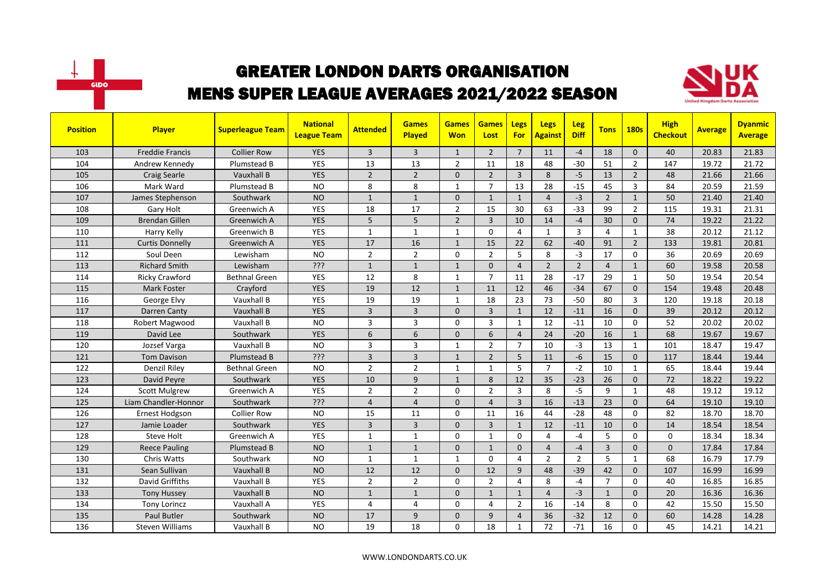



| <b>Position</b> | <b>Player</b>          | <b>Superleague Team</b> | <b>National</b><br><b>League Team</b> | <b>Attended</b> | <b>Games</b><br><b>Played</b> | <b>Games</b><br><b>Won</b> | <b>Games</b><br>Lost | <b>Legs</b><br><b>For</b> | <b>Legs</b><br><b>Against</b> | <b>Leg</b><br><b>Diff</b> | <b>Tons</b>    | <b>180s</b>    | <b>High</b><br><b>Checkout</b> | <b>Average</b> | <b>Dyanmic</b><br><b>Average</b> |
|-----------------|------------------------|-------------------------|---------------------------------------|-----------------|-------------------------------|----------------------------|----------------------|---------------------------|-------------------------------|---------------------------|----------------|----------------|--------------------------------|----------------|----------------------------------|
| 103             | <b>Freddie Francis</b> | <b>Collier Row</b>      | <b>YES</b>                            | $\overline{3}$  | $\overline{3}$                | $\mathbf{1}$               | $\overline{2}$       | $\overline{7}$            | 11                            | $-4$                      | 18             | $\Omega$       | 40                             | 20.83          | 21.83                            |
| 104             | Andrew Kennedy         | Plumstead B             | <b>YES</b>                            | 13              | 13                            | $\overline{2}$             | 11                   | 18                        | 48                            | $-30$                     | 51             | $\overline{2}$ | 147                            | 19.72          | 21.72                            |
| 105             | <b>Craig Searle</b>    | Vauxhall B              | <b>YES</b>                            | $\overline{2}$  | $\overline{2}$                | $\Omega$                   | $\overline{2}$       | $\overline{3}$            | 8                             | $-5$                      | 13             | $\overline{2}$ | 48                             | 21.66          | 21.66                            |
| 106             | Mark Ward              | Plumstead B             | <b>NO</b>                             | 8               | 8                             | $\mathbf{1}$               | $\overline{7}$       | 13                        | 28                            | $-15$                     | 45             | 3              | 84                             | 20.59          | 21.59                            |
| 107             | James Stephenson       | Southwark               | <b>NO</b>                             | $\mathbf{1}$    | $\mathbf{1}$                  | $\mathbf{0}$               | $\mathbf{1}$         | $\mathbf{1}$              | $\overline{4}$                | $-3$                      | $\overline{2}$ | $\mathbf{1}$   | 50                             | 21.40          | 21.40                            |
| 108             | Gary Holt              | Greenwich A             | YES                                   | 18              | 17                            | $\overline{2}$             | 15                   | 30                        | 63                            | $-33$                     | 99             | $\overline{2}$ | 115                            | 19.31          | 21.31                            |
| 109             | <b>Brendan Gillen</b>  | Greenwich A             | <b>YES</b>                            | 5               | 5                             | $\overline{2}$             | $\overline{3}$       | 10                        | 14                            | $-4$                      | 30             | $\mathbf 0$    | 74                             | 19.22          | 21.22                            |
| 110             | Harry Kelly            | Greenwich B             | <b>YES</b>                            | $\mathbf{1}$    | 1                             | $\mathbf{1}$               | $\mathbf{0}$         | 4                         | 1                             | $\overline{3}$            | $\overline{4}$ | $\mathbf{1}$   | 38                             | 20.12          | 21.12                            |
| 111             | <b>Curtis Donnelly</b> | Greenwich A             | <b>YES</b>                            | 17              | 16                            | $\mathbf{1}$               | 15                   | 22                        | 62                            | $-40$                     | 91             | $\overline{2}$ | 133                            | 19.81          | 20.81                            |
| 112             | Soul Deen              | Lewisham                | <b>NO</b>                             | $\overline{2}$  | $\overline{2}$                | $\Omega$                   | $\overline{2}$       | 5                         | 8                             | $-3$                      | 17             | $\mathbf 0$    | 36                             | 20.69          | 20.69                            |
| 113             | <b>Richard Smith</b>   | Lewisham                | ?ְיָ                                  | $\mathbf{1}$    | $\mathbf{1}$                  | $\mathbf{1}$               | $\mathbf{0}$         | $\overline{4}$            | $\overline{2}$                | $\overline{2}$            | $\overline{4}$ | $\mathbf{1}$   | 60                             | 19.58          | 20.58                            |
| 114             | <b>Ricky Crawford</b>  | <b>Bethnal Green</b>    | <b>YES</b>                            | 12              | 8                             | 1                          | $\overline{7}$       | 11                        | 28                            | $-17$                     | 29             | $\mathbf{1}$   | 50                             | 19.54          | 20.54                            |
| 115             | <b>Mark Foster</b>     | Crayford                | <b>YES</b>                            | 19              | 12                            | $\mathbf{1}$               | 11                   | 12                        | 46                            | $-34$                     | 67             | $\Omega$       | 154                            | 19.48          | 20.48                            |
| 116             | George Elvy            | Vauxhall B              | <b>YES</b>                            | 19              | 19                            | $\mathbf{1}$               | 18                   | 23                        | 73                            | $-50$                     | 80             | 3              | 120                            | 19.18          | 20.18                            |
| 117             | Darren Canty           | Vauxhall B              | <b>YES</b>                            | $\overline{3}$  | $\overline{3}$                | $\Omega$                   | $\overline{3}$       | $\mathbf{1}$              | 12                            | $-11$                     | 16             | $\Omega$       | 39                             | 20.12          | 20.12                            |
| 118             | Robert Magwood         | Vauxhall B              | <b>NO</b>                             | $\overline{3}$  | $\overline{3}$                | $\Omega$                   | $\overline{3}$       | $\mathbf{1}$              | 12                            | $-11$                     | 10             | $\Omega$       | 52                             | 20.02          | 20.02                            |
| 119             | David Lee              | Southwark               | <b>YES</b>                            | 6               | 6                             | $\Omega$                   | 6                    | $\overline{4}$            | 24                            | $-20$                     | 16             | $\mathbf{1}$   | 68                             | 19.67          | 19.67                            |
| 120             | Jozsef Varga           | Vauxhall B              | <b>NO</b>                             | 3               | $\overline{3}$                | 1                          | $\overline{2}$       | $\overline{7}$            | 10                            | $-3$                      | 13             | $\mathbf{1}$   | 101                            | 18.47          | 19.47                            |
| 121             | <b>Tom Davison</b>     | Plumstead B             | ???                                   | 3               | $\overline{3}$                | $\mathbf{1}$               | $\overline{2}$       | 5                         | 11                            | $-6$                      | 15             | $\mathbf{0}$   | 117                            | 18.44          | 19.44                            |
| 122             | <b>Denzil Riley</b>    | <b>Bethnal Green</b>    | <b>NO</b>                             | $\overline{2}$  | $\overline{2}$                | 1                          | $\mathbf{1}$         | 5                         | $\overline{7}$                | $-2$                      | 10             | $\mathbf{1}$   | 65                             | 18.44          | 19.44                            |
| 123             | David Peyre            | Southwark               | <b>YES</b>                            | 10              | 9                             | $\mathbf{1}$               | 8                    | 12                        | 35                            | $-23$                     | 26             | $\mathbf{0}$   | 72                             | 18.22          | 19.22                            |
| 124             | <b>Scott Mulgrew</b>   | Greenwich A             | <b>YES</b>                            | $\overline{2}$  | $\overline{2}$                | 0                          | $\overline{2}$       | $\overline{3}$            | 8                             | $-5$                      | 9              | $\mathbf{1}$   | 48                             | 19.12          | 19.12                            |
| 125             | Liam Chandler-Honnor   | Southwark               | ???                                   | $\overline{4}$  | $\overline{4}$                | $\Omega$                   | $\overline{4}$       | $\overline{3}$            | 16                            | $-13$                     | 23             | $\Omega$       | 64                             | 19.10          | 19.10                            |
| 126             | Ernest Hodgson         | <b>Collier Row</b>      | <b>NO</b>                             | 15              | 11                            | 0                          | 11                   | 16                        | 44                            | $-28$                     | 48             | 0              | 82                             | 18.70          | 18.70                            |
| 127             | Jamie Loader           | Southwark               | <b>YES</b>                            | 3               | $\overline{3}$                | $\mathbf{0}$               | $\overline{3}$       | $\mathbf{1}$              | 12                            | $-11$                     | 10             | $\mathbf{0}$   | 14                             | 18.54          | 18.54                            |
| 128             | Steve Holt             | Greenwich A             | <b>YES</b>                            | $\mathbf{1}$    | $\mathbf{1}$                  | 0                          | 1                    | $\Omega$                  | 4                             | $-4$                      | 5              | 0              | 0                              | 18.34          | 18.34                            |
| 129             | <b>Reece Pauling</b>   | Plumstead B             | <b>NO</b>                             | $\mathbf{1}$    | $\overline{1}$                | $\mathbf{0}$               | $\mathbf{1}$         | $\mathbf{0}$              | $\overline{4}$                | $-4$                      | 3              | $\mathbf 0$    | $\overline{0}$                 | 17.84          | 17.84                            |
| 130             | <b>Chris Watts</b>     | Southwark               | <b>NO</b>                             | $\mathbf{1}$    | $\mathbf{1}$                  | $\mathbf{1}$               | $\mathbf{0}$         | $\overline{4}$            | $\overline{2}$                | $\overline{2}$            | 5              | $\mathbf{1}$   | 68                             | 16.79          | 17.79                            |
| 131             | Sean Sullivan          | Vauxhall B              | <b>NO</b>                             | 12              | 12                            | $\Omega$                   | 12                   | 9                         | 48                            | $-39$                     | 42             | $\Omega$       | 107                            | 16.99          | 16.99                            |
| 132             | <b>David Griffiths</b> | Vauxhall B              | <b>YES</b>                            | $\overline{2}$  | $\overline{2}$                | 0                          | $\overline{2}$       | 4                         | 8                             | $-4$                      | $\overline{7}$ | $\mathbf 0$    | 40                             | 16.85          | 16.85                            |
| 133             | <b>Tony Hussey</b>     | Vauxhall B              | <b>NO</b>                             | $\mathbf{1}$    | $\mathbf{1}$                  | $\mathbf{0}$               | $\mathbf{1}$         | $\mathbf{1}$              | $\overline{4}$                | $-3$                      | $\mathbf{1}$   | $\mathbf{0}$   | 20                             | 16.36          | 16.36                            |
| 134             | <b>Tony Lorincz</b>    | Vauxhall A              | <b>YES</b>                            | 4               | 4                             | 0                          | 4                    | $\overline{2}$            | 16                            | $-14$                     | 8              | 0              | 42                             | 15.50          | 15.50                            |
| 135             | <b>Paul Butler</b>     | Southwark               | <b>NO</b>                             | 17              | 9                             | $\Omega$                   | 9                    | $\overline{4}$            | 36                            | $-32$                     | 12             | $\Omega$       | 60                             | 14.28          | 14.28                            |
| 136             | <b>Steven Williams</b> | Vauxhall B              | <b>NO</b>                             | 19              | 18                            | 0                          | 18                   | $\mathbf{1}$              | 72                            | $-71$                     | 16             | $\Omega$       | 45                             | 14.21          | 14.21                            |